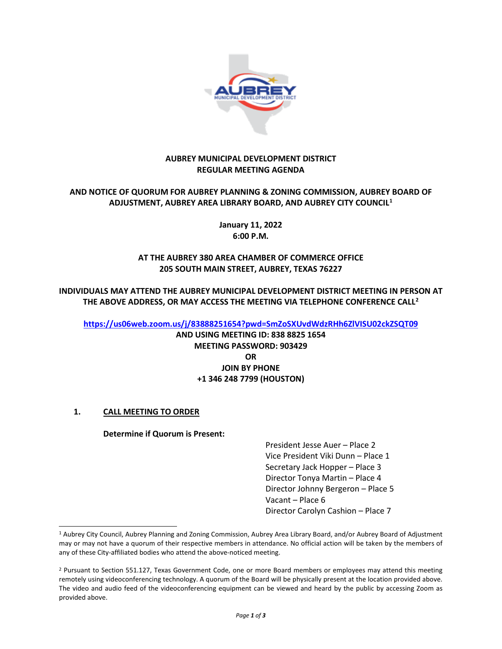

## **AUBREY MUNICIPAL DEVELOPMENT DISTRICT REGULAR MEETING AGENDA**

# **AND NOTICE OF QUORUM FOR AUBREY PLANNING & ZONING COMMISSION, AUBREY BOARD OF ADJUSTMENT, AUBREY AREA LIBRARY BOARD, AND AUBREY CITY COUNCIL[1](#page-0-0)**

**January 11, 2022 6:00 P.M.**

# **AT THE AUBREY 380 AREA CHAMBER OF COMMERCE OFFICE 205 SOUTH MAIN STREET, AUBREY, TEXAS 76227**

**INDIVIDUALS MAY ATTEND THE AUBREY MUNICIPAL DEVELOPMENT DISTRICT MEETING IN PERSON AT THE ABOVE ADDRESS, OR MAY ACCESS THE MEETING VIA TELEPHONE CONFERENCE CALL[2](#page-0-1)**

**<https://us06web.zoom.us/j/83888251654?pwd=SmZoSXUvdWdzRHh6ZlVISU02ckZSQT09>**

**AND USING MEETING ID: 838 8825 1654 MEETING PASSWORD: 903429 OR JOIN BY PHONE +1 346 248 7799 (HOUSTON)**

# **1. CALL MEETING TO ORDER**

## **Determine if Quorum is Present:**

President Jesse Auer – Place 2 Vice President Viki Dunn – Place 1 Secretary Jack Hopper – Place 3 Director Tonya Martin – Place 4 Director Johnny Bergeron – Place 5 Vacant – Place 6 Director Carolyn Cashion – Place 7

<span id="page-0-0"></span><sup>1</sup> Aubrey City Council, Aubrey Planning and Zoning Commission, Aubrey Area Library Board, and/or Aubrey Board of Adjustment may or may not have a quorum of their respective members in attendance. No official action will be taken by the members of any of these City-affiliated bodies who attend the above-noticed meeting.

<span id="page-0-1"></span><sup>&</sup>lt;sup>2</sup> Pursuant to Section 551.127, Texas Government Code, one or more Board members or employees may attend this meeting remotely using videoconferencing technology. A quorum of the Board will be physically present at the location provided above. The video and audio feed of the videoconferencing equipment can be viewed and heard by the public by accessing Zoom as provided above.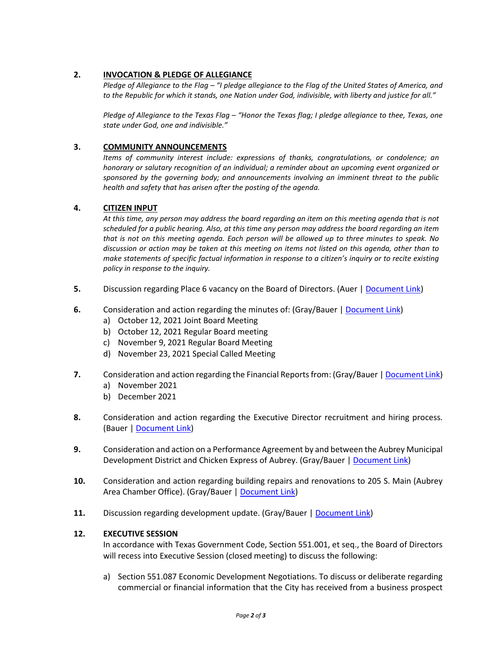## **2. INVOCATION & PLEDGE OF ALLEGIANCE**

*Pledge of Allegiance to the Flag – "I pledge allegiance to the Flag of the United States of America, and to the Republic for which it stands, one Nation under God, indivisible, with liberty and justice for all."*

*Pledge of Allegiance to the Texas Flag – "Honor the Texas flag; I pledge allegiance to thee, Texas, one state under God, one and indivisible."*

### **3. COMMUNITY ANNOUNCEMENTS**

*Items of community interest include: expressions of thanks, congratulations, or condolence; an honorary or salutary recognition of an individual; a reminder about an upcoming event organized or sponsored by the governing body; and announcements involving an imminent threat to the public health and safety that has arisen after the posting of the agenda.*

#### **4. CITIZEN INPUT**

*At this time, any person may address the board regarding an item on this meeting agenda that is not scheduled for a public hearing. Also, at this time any person may address the board regarding an item that is not on this meeting agenda. Each person will be allowed up to three minutes to speak. No discussion or action may be taken at this meeting on items not listed on this agenda, other than to make statements of specific factual information in response to a citizen's inquiry or to recite existing policy in response to the inquiry.*

- **5.** Discussion regarding Place 6 vacancy on the Board of Directors. (Auer | [Document Link\)](https://www.dropbox.com/s/v89tsro0jq27oyw/2022%200111%20Item%205.pdf?dl=0)
- **6.** Consideration and action regarding the minutes of: (Gray/Bauer [| Document Link\)](https://www.dropbox.com/sh/k5vtn74n3gsbaki/AACts_Pq98OHoOQJC30b9LTba?dl=0)
	- a) October 12, 2021 Joint Board Meeting
	- b) October 12, 2021 Regular Board meeting
	- c) November 9, 2021 Regular Board Meeting
	- d) November 23, 2021 Special Called Meeting
- **7.** Consideration and action regarding the Financial Reports from: (Gray/Bauer [| Document Link\)](https://www.dropbox.com/s/z0mk17chyrr8j1b/2022%200111%20Item%207.pdf?dl=0)
	- a) November 2021
	- b) December 2021
- **8.** Consideration and action regarding the Executive Director recruitment and hiring process. (Bauer [| Document Link\)](https://www.dropbox.com/s/29bhyw5iu7t27sx/2022%200111%20Item%208.pdf?dl=0)
- **9.** Consideration and action on a Performance Agreement by and between the Aubrey Municipal Development District and Chicken Express of Aubrey. (Gray/Bauer [| Document Link\)](https://www.dropbox.com/s/zy68enimaudi1g7/2022%200111%20Item%209.pdf?dl=0)
- **10.** Consideration and action regarding building repairs and renovations to 205 S. Main (Aubrey Area Chamber Office). (Gray/Bauer | [Document Link\)](https://www.dropbox.com/s/uco9zcgw72aad51/2022%200111%20Item%2010.pdf?dl=0)
- 11. Discussion regarding development update. (Gray/Bauer [| Document Link\)](https://www.dropbox.com/s/6irv65a52ysva0p/2022%200111%20Item%2011.pdf?dl=0)

#### **12. EXECUTIVE SESSION**

In accordance with Texas Government Code, Section 551.001, et seq., the Board of Directors will recess into Executive Session (closed meeting) to discuss the following:

a) Section 551.087 Economic Development Negotiations. To discuss or deliberate regarding commercial or financial information that the City has received from a business prospect